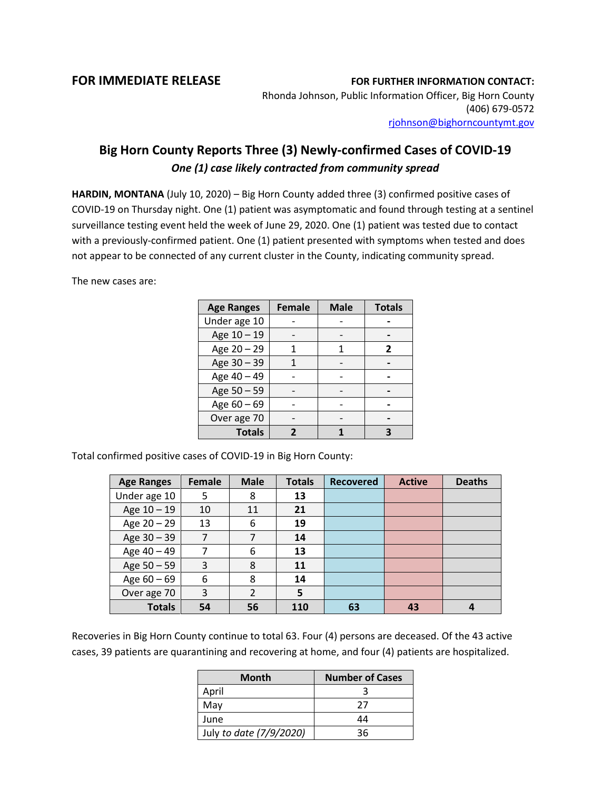## **FOR IMMEDIATE RELEASE FOR FURTHER INFORMATION CONTACT:**

Rhonda Johnson, Public Information Officer, Big Horn County (406) 679-0572 [rjohnson@bighorncountymt.gov](mailto:rjohnson@bighorncountymt.gov)

## **Big Horn County Reports Three (3) Newly-confirmed Cases of COVID-19**  *One (1) case likely contracted from community spread*

**HARDIN, MONTANA** (July 10, 2020) – Big Horn County added three (3) confirmed positive cases of COVID-19 on Thursday night. One (1) patient was asymptomatic and found through testing at a sentinel surveillance testing event held the week of June 29, 2020. One (1) patient was tested due to contact with a previously-confirmed patient. One (1) patient presented with symptoms when tested and does not appear to be connected of any current cluster in the County, indicating community spread.

The new cases are:

| <b>Age Ranges</b> | <b>Female</b> | <b>Male</b> | <b>Totals</b> |
|-------------------|---------------|-------------|---------------|
| Under age 10      |               |             |               |
| Age 10 - 19       |               |             |               |
| Age 20 - 29       |               |             | 2             |
| Age 30 - 39       |               |             |               |
| Age 40 - 49       |               |             |               |
| Age 50 - 59       |               |             |               |
| Age $60 - 69$     |               |             |               |
| Over age 70       |               |             |               |
| <b>Totals</b>     |               |             |               |

Total confirmed positive cases of COVID-19 in Big Horn County:

| <b>Age Ranges</b> | Female | <b>Male</b> | <b>Totals</b> | <b>Recovered</b> | <b>Active</b> | <b>Deaths</b> |
|-------------------|--------|-------------|---------------|------------------|---------------|---------------|
| Under age 10      | 5      | 8           | 13            |                  |               |               |
| Age 10 - 19       | 10     | 11          | 21            |                  |               |               |
| Age 20 - 29       | 13     | 6           | 19            |                  |               |               |
| Age 30 - 39       | 7      |             | 14            |                  |               |               |
| Age 40 - 49       | 7      | 6           | 13            |                  |               |               |
| Age 50 - 59       | 3      | 8           | 11            |                  |               |               |
| Age $60 - 69$     | 6      | 8           | 14            |                  |               |               |
| Over age 70       | 3      | 2           | 5             |                  |               |               |
| <b>Totals</b>     | 54     | 56          | 110           | 63               | 43            |               |

Recoveries in Big Horn County continue to total 63. Four (4) persons are deceased. Of the 43 active cases, 39 patients are quarantining and recovering at home, and four (4) patients are hospitalized.

| <b>Month</b>            | <b>Number of Cases</b> |  |  |
|-------------------------|------------------------|--|--|
| April                   |                        |  |  |
| May                     | 27                     |  |  |
| June                    | 44                     |  |  |
| July to date (7/9/2020) | 36                     |  |  |